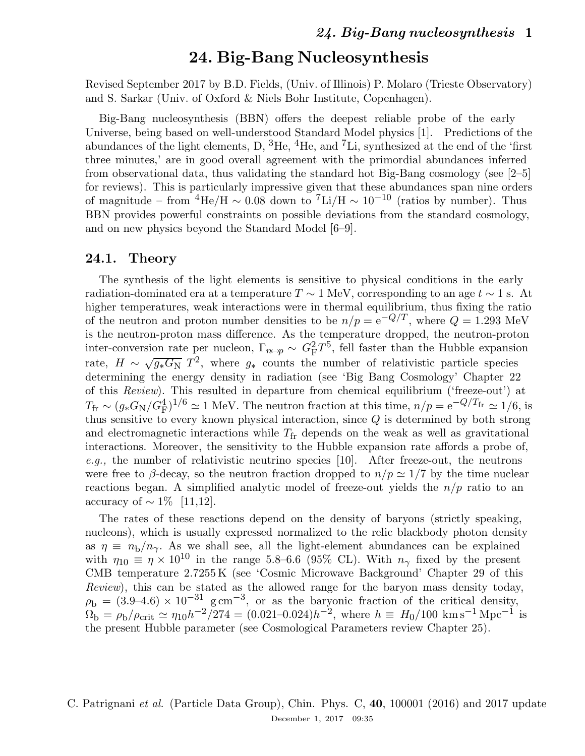Revised September 2017 by B.D. Fields, (Univ. of Illinois) P. Molaro (Trieste Observatory) and S. Sarkar (Univ. of Oxford & Niels Bohr Institute, Copenhagen).

Big-Bang nucleosynthesis (BBN) offers the deepest reliable probe of the early Universe, being based on well-understood Standard Model physics [1]. Predictions of the abundances of the light elements, D, <sup>3</sup>He, <sup>4</sup>He, and <sup>7</sup>Li, synthesized at the end of the 'first three minutes,' are in good overall agreement with the primordial abundances inferred from observational data, thus validating the standard hot Big-Bang cosmology (see [2–5] for reviews). This is particularly impressive given that these abundances span nine orders of magnitude – from  ${}^{4}$ He/H  $\sim 0.08$  down to  ${}^{7}$ Li/H  $\sim 10^{-10}$  (ratios by number). Thus BBN provides powerful constraints on possible deviations from the standard cosmology, and on new physics beyond the Standard Model [6–9].

#### 24.1. Theory

The synthesis of the light elements is sensitive to physical conditions in the early radiation-dominated era at a temperature  $T \sim 1$  MeV, corresponding to an age  $t \sim 1$  s. At higher temperatures, weak interactions were in thermal equilibrium, thus fixing the ratio of the neutron and proton number densities to be  $n/p = e^{-Q/T}$ , where  $Q = 1.293$  MeV is the neutron-proton mass difference. As the temperature dropped, the neutron-proton inter-conversion rate per nucleon,  $\Gamma_{n\leftrightarrow p} \sim G_{\rm F}^2 T^5$ , fell faster than the Hubble expansion rate,  $H \sim \sqrt{g_* G_N} T^2$ , where  $g_*$  counts the number of relativistic particle species determining the energy density in radiation (see 'Big Bang Cosmology' Chapter 22 of this Review). This resulted in departure from chemical equilibrium ('freeze-out') at  $T_{\rm fr} \sim (g_* G_{\rm N}/G_{\rm F}^4)^{1/6} \simeq 1$  MeV. The neutron fraction at this time,  $n/p = e^{-Q/T_{\rm fr}} \simeq 1/6$ , is thus sensitive to every known physical interaction, since Q is determined by both strong and electromagnetic interactions while  $T_{fr}$  depends on the weak as well as gravitational interactions. Moreover, the sensitivity to the Hubble expansion rate affords a probe of, e.g., the number of relativistic neutrino species [10]. After freeze-out, the neutrons were free to β-decay, so the neutron fraction dropped to  $n/p \simeq 1/7$  by the time nuclear reactions began. A simplified analytic model of freeze-out yields the  $n/p$  ratio to an accuracy of  $\sim 1\%$  [11,12].

The rates of these reactions depend on the density of baryons (strictly speaking, nucleons), which is usually expressed normalized to the relic blackbody photon density as  $\eta \equiv n_{\rm b}/n_{\gamma}$ . As we shall see, all the light-element abundances can be explained with  $\eta_{10} \equiv \eta \times 10^{10}$  in the range 5.8–6.6 (95% CL). With  $n_{\gamma}$  fixed by the present CMB temperature 2.7255 K (see 'Cosmic Microwave Background' Chapter 29 of this Review), this can be stated as the allowed range for the baryon mass density today,  $\rho_{\rm b} = (3.9-4.6) \times 10^{-31}$  g cm<sup>-3</sup>, or as the baryonic fraction of the critical density,  $\Omega_{\rm b} = \rho_{\rm b}/\rho_{\rm crit} \simeq \eta_{10}h^{-2}/274 = (0.021-0.024)h^{-2}$ , where  $h \equiv H_0/100 \text{ km s}^{-1} \text{ Mpc}^{-1}$  is the present Hubble parameter (see Cosmological Parameters review Chapter 25).

### C. Patrignani et al. (Particle Data Group), Chin. Phys. C, 40, 100001 (2016) and 2017 update December 1, 2017 09:35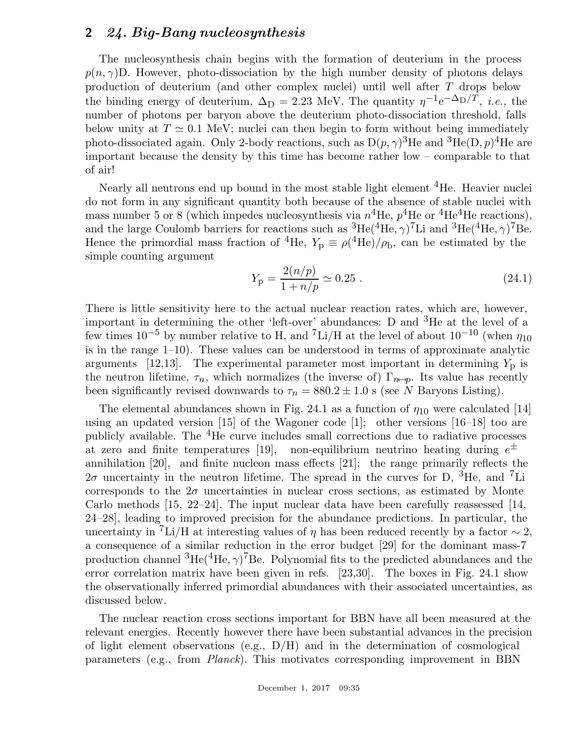The nucleosynthesis chain begins with the formation of deuterium in the process  $p(n, \gamma)$ D. However, photo-dissociation by the high number density of photons delays production of deuterium (and other complex nuclei) until well after T drops below the binding energy of deuterium,  $\Delta_D = 2.23$  MeV. The quantity  $\eta^{-1} e^{-\Delta_D/T}$ , *i.e.*, the number of photons per baryon above the deuterium photo-dissociation threshold, falls below unity at  $T \simeq 0.1$  MeV; nuclei can then begin to form without being immediately photo-dissociated again. Only 2-body reactions, such as  $D(p, \gamma)^3$ He and  ${}^3\text{He}(D, p){}^4\text{He}$  are important because the density by this time has become rather low – comparable to that of air!

Nearly all neutrons end up bound in the most stable light element <sup>4</sup>He. Heavier nuclei do not form in any significant quantity both because of the absence of stable nuclei with mass number 5 or 8 (which impedes nucleosynthesis via  $n^4$ He,  $p^4$ He or  $^4$ He<sup>4</sup>He reactions), and the large Coulomb barriers for reactions such as  ${}^{3}He({}^{4}He, \gamma){}^{7}Li$  and  ${}^{3}He({}^{4}He, \gamma){}^{7}Be$ . Hence the primordial mass fraction of <sup>4</sup>He,  $Y_p \equiv \rho(^4\text{He})/\rho_b$ , can be estimated by the simple counting argument

$$
Y_{\rm p} = \frac{2(n/p)}{1 + n/p} \simeq 0.25 \ . \tag{24.1}
$$

There is little sensitivity here to the actual nuclear reaction rates, which are, however, important in determining the other 'left-over' abundances: D and  $3H$ e at the level of a few times  $10^{-5}$  by number relative to H, and  ${}^{7}\text{Li/H}$  at the level of about  $10^{-10}$  (when  $\eta_{10}$ is in the range 1–10). These values can be understood in terms of approximate analytic arguments [12,13]. The experimental parameter most important in determining  $Y<sub>p</sub>$  is the neutron lifetime,  $\tau_n$ , which normalizes (the inverse of)  $\Gamma_{n\leftrightarrow p}$ . Its value has recently been significantly revised downwards to  $\tau_n = 880.2 \pm 1.0$  s (see N Baryons Listing).

The elemental abundances shown in Fig. 24.1 as a function of  $\eta_{10}$  were calculated [14] using an updated version [15] of the Wagoner code [1]; other versions [16–18] too are publicly available. The <sup>4</sup>He curve includes small corrections due to radiative processes at zero and finite temperatures [19], non-equilibrium neutrino heating during  $e^{\pm}$ annihilation [20], and finite nucleon mass effects [21]; the range primarily reflects the  $2\sigma$  uncertainty in the neutron lifetime. The spread in the curves for D, <sup>3</sup>He, and <sup>7</sup>Li corresponds to the  $2\sigma$  uncertainties in nuclear cross sections, as estimated by Monte Carlo methods [15, 22–24]. The input nuclear data have been carefully reassessed [14, 24–28], leading to improved precision for the abundance predictions. In particular, the uncertainty in <sup>7</sup>Li/H at interesting values of  $\eta$  has been reduced recently by a factor  $\sim$  2, a consequence of a similar reduction in the error budget [29] for the dominant mass-7 production channel  ${}^{3}$ He( ${}^{4}$ He,  $\gamma$ )<sup>7</sup>Be. Polynomial fits to the predicted abundances and the error correlation matrix have been given in refs. [23,30]. The boxes in Fig. 24.1 show the observationally inferred primordial abundances with their associated uncertainties, as discussed below.

The nuclear reaction cross sections important for BBN have all been measured at the relevant energies. Recently however there have been substantial advances in the precision of light element observations (e.g.,  $D/H$ ) and in the determination of cosmological parameters (e.g., from Planck). This motivates corresponding improvement in BBN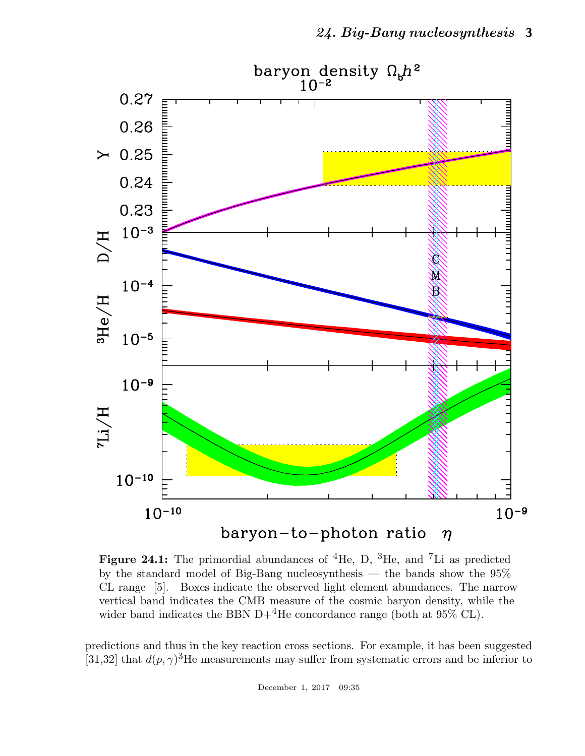

**Figure 24.1:** The primordial abundances of  ${}^{4}$ He, D,  ${}^{3}$ He, and  ${}^{7}$ Li as predicted by the standard model of Big-Bang nucleosynthesis — the bands show the 95% CL range [5]. Boxes indicate the observed light element abundances. The narrow vertical band indicates the CMB measure of the cosmic baryon density, while the wider band indicates the BBN D+<sup>4</sup>He concordance range (both at  $95\%$  CL).

predictions and thus in the key reaction cross sections. For example, it has been suggested [31,32] that  $d(p, \gamma)^3$ He measurements may suffer from systematic errors and be inferior to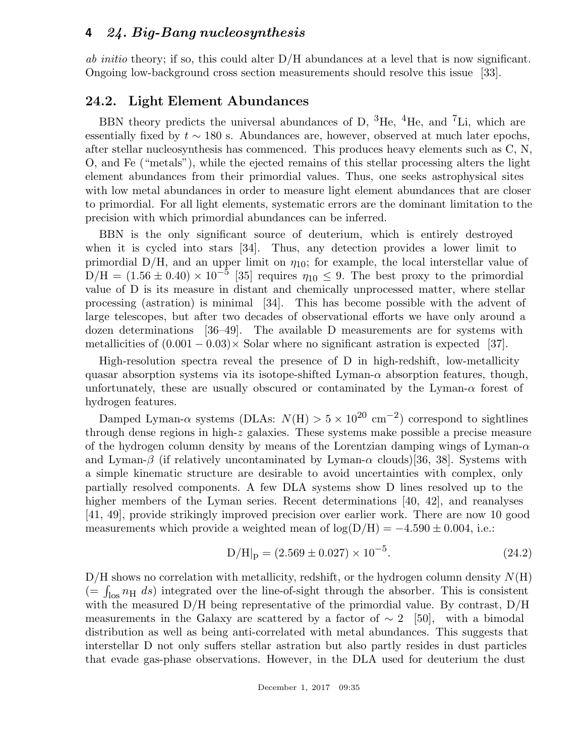ab initio theory; if so, this could alter  $D/H$  abundances at a level that is now significant. Ongoing low-background cross section measurements should resolve this issue [33].

### 24.2. Light Element Abundances

BBN theory predicts the universal abundances of D,  ${}^{3}$ He,  ${}^{4}$ He, and  ${}^{7}$ Li, which are essentially fixed by  $t \sim 180$  s. Abundances are, however, observed at much later epochs, after stellar nucleosynthesis has commenced. This produces heavy elements such as C, N, O, and Fe ("metals"), while the ejected remains of this stellar processing alters the light element abundances from their primordial values. Thus, one seeks astrophysical sites with low metal abundances in order to measure light element abundances that are closer to primordial. For all light elements, systematic errors are the dominant limitation to the precision with which primordial abundances can be inferred.

BBN is the only significant source of deuterium, which is entirely destroyed when it is cycled into stars [34]. Thus, any detection provides a lower limit to primordial D/H, and an upper limit on  $\eta_{10}$ ; for example, the local interstellar value of  $D/H = (1.56 \pm 0.40) \times 10^{-5}$  [35] requires  $\eta_{10} \leq 9$ . The best proxy to the primordial value of D is its measure in distant and chemically unprocessed matter, where stellar processing (astration) is minimal [34]. This has become possible with the advent of large telescopes, but after two decades of observational efforts we have only around a dozen determinations [36–49]. The available D measurements are for systems with metallicities of  $(0.001 - 0.03) \times$  Solar where no significant astration is expected [37].

High-resolution spectra reveal the presence of D in high-redshift, low-metallicity quasar absorption systems via its isotope-shifted Lyman- $\alpha$  absorption features, though, unfortunately, these are usually obscured or contaminated by the Lyman- $\alpha$  forest of hydrogen features.

Damped Lyman- $\alpha$  systems (DLAs:  $N(H) > 5 \times 10^{20}$  cm<sup>-2</sup>) correspond to sightlines through dense regions in high-z galaxies. These systems make possible a precise measure of the hydrogen column density by means of the Lorentzian damping wings of Lyman- $\alpha$ and Lyman- $\beta$  (if relatively uncontaminated by Lyman- $\alpha$  clouds)[36, 38]. Systems with a simple kinematic structure are desirable to avoid uncertainties with complex, only partially resolved components. A few DLA systems show D lines resolved up to the higher members of the Lyman series. Recent determinations [40, 42], and reanalyses [41, 49], provide strikingly improved precision over earlier work. There are now 10 good measurements which provide a weighted mean of  $log(D/H) = -4.590 \pm 0.004$ , i.e.:

$$
D/H|_{p} = (2.569 \pm 0.027) \times 10^{-5}.
$$
 (24.2)

 $D/H$  shows no correlation with metallicity, redshift, or the hydrogen column density  $N(H)$  $(=\int_{\text{los}} n_{\text{H}} ds)$  integrated over the line-of-sight through the absorber. This is consistent with the measured  $D/H$  being representative of the primordial value. By contrast,  $D/H$ measurements in the Galaxy are scattered by a factor of  $\sim 2$  [50], with a bimodal distribution as well as being anti-correlated with metal abundances. This suggests that interstellar D not only suffers stellar astration but also partly resides in dust particles that evade gas-phase observations. However, in the DLA used for deuterium the dust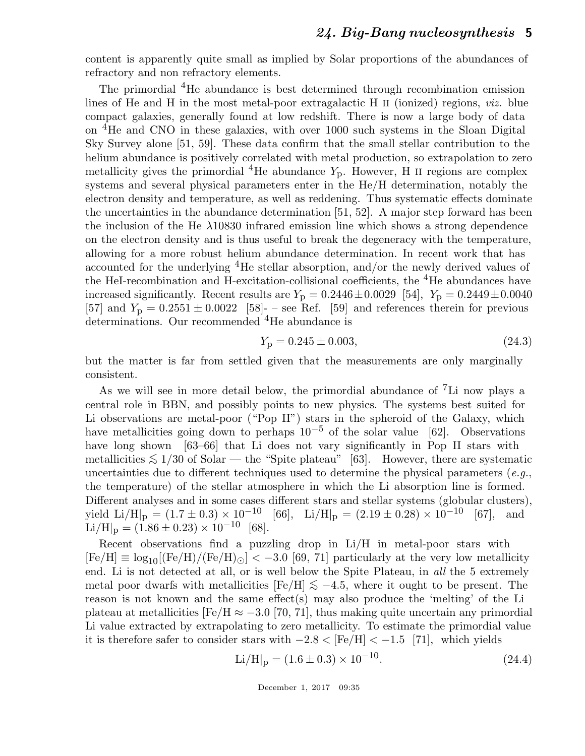content is apparently quite small as implied by Solar proportions of the abundances of refractory and non refractory elements.

The primordial <sup>4</sup>He abundance is best determined through recombination emission lines of He and H in the most metal-poor extragalactic H II (ionized) regions, viz. blue compact galaxies, generally found at low redshift. There is now a large body of data on <sup>4</sup>He and CNO in these galaxies, with over 1000 such systems in the Sloan Digital Sky Survey alone [51, 59]. These data confirm that the small stellar contribution to the helium abundance is positively correlated with metal production, so extrapolation to zero metallicity gives the primordial <sup>4</sup>He abundance  $Y_p$ . However, H II regions are complex systems and several physical parameters enter in the He/H determination, notably the electron density and temperature, as well as reddening. Thus systematic effects dominate the uncertainties in the abundance determination [51, 52]. A major step forward has been the inclusion of the He  $\lambda$ 10830 infrared emission line which shows a strong dependence on the electron density and is thus useful to break the degeneracy with the temperature, allowing for a more robust helium abundance determination. In recent work that has accounted for the underlying <sup>4</sup>He stellar absorption, and/or the newly derived values of the HeI-recombination and H-excitation-collisional coefficients, the  ${}^{4}$ He abundances have increased significantly. Recent results are  $Y_p = 0.2446 \pm 0.0029$  [54],  $Y_p = 0.2449 \pm 0.0040$ [57] and  $Y_p = 0.2551 \pm 0.0022$  [58]- – see Ref. [59] and references therein for previous determinations. Our recommended <sup>4</sup>He abundance is

$$
Y_{\rm p} = 0.245 \pm 0.003,\tag{24.3}
$$

but the matter is far from settled given that the measurements are only marginally consistent.

As we will see in more detail below, the primordial abundance of <sup>7</sup>Li now plays a central role in BBN, and possibly points to new physics. The systems best suited for Li observations are metal-poor ("Pop II") stars in the spheroid of the Galaxy, which have metallicities going down to perhaps  $10^{-5}$  of the solar value [62]. Observations have long shown [63–66] that Li does not vary significantly in Pop II stars with metallicities  $\lesssim 1/30$  of Solar — the "Spite plateau" [63]. However, there are systematic uncertainties due to different techniques used to determine the physical parameters  $(e.g.,)$ the temperature) of the stellar atmosphere in which the Li absorption line is formed. Different analyses and in some cases different stars and stellar systems (globular clusters), yield  $\text{Li/H}\vert_{\text{p}} = (1.7 \pm 0.3) \times 10^{-10}$  [66],  $\text{Li/H}\vert_{\text{p}} = (2.19 \pm 0.28) \times 10^{-10}$  [67], and  $\text{Li/H}\vert_{\text{p}} = (1.86 \pm 0.23) \times 10^{-10}$  [68].

Recent observations find a puzzling drop in Li/H in metal-poor stars with  $[Fe/H] \equiv \log_{10}[(Fe/H)/(Fe/H)_{\odot}] < -3.0$  [69, 71] particularly at the very low metallicity end. Li is not detected at all, or is well below the Spite Plateau, in all the 5 extremely metal poor dwarfs with metallicities  $[Fe/H] \leq -4.5$ , where it ought to be present. The reason is not known and the same effect  $(s)$  may also produce the 'melting' of the Li plateau at metallicities  $[Fe/H \approx -3.0]$  [70, 71], thus making quite uncertain any primordial Li value extracted by extrapolating to zero metallicity. To estimate the primordial value it is therefore safer to consider stars with  $-2.8 <$  [Fe/H]  $< -1.5$  [71], which yields

$$
\text{Li/H}|_{\text{p}} = (1.6 \pm 0.3) \times 10^{-10}.
$$
\n(24.4)

December 1, 2017 09:35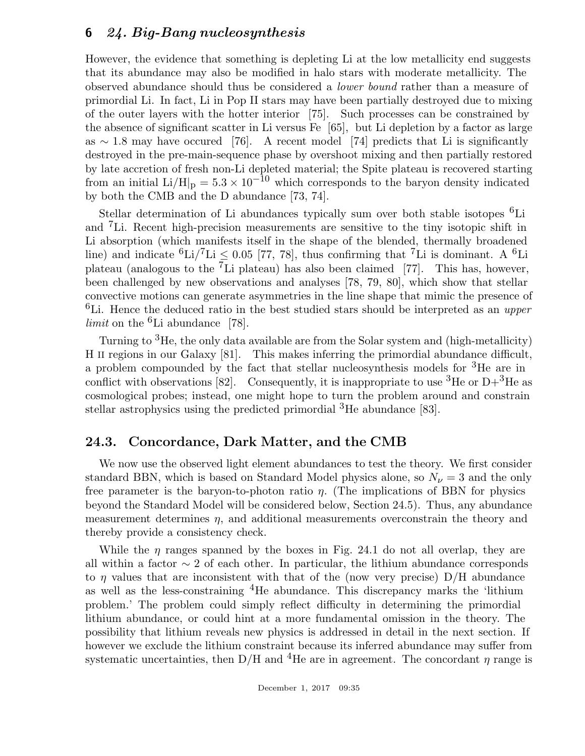However, the evidence that something is depleting Li at the low metallicity end suggests that its abundance may also be modified in halo stars with moderate metallicity. The observed abundance should thus be considered a lower bound rather than a measure of primordial Li. In fact, Li in Pop II stars may have been partially destroyed due to mixing of the outer layers with the hotter interior [75]. Such processes can be constrained by the absence of significant scatter in Li versus Fe [65], but Li depletion by a factor as large as  $\sim$  1.8 may have occured [76]. A recent model [74] predicts that Li is significantly destroyed in the pre-main-sequence phase by overshoot mixing and then partially restored by late accretion of fresh non-Li depleted material; the Spite plateau is recovered starting from an initial Li/H|<sub>p</sub> =  $5.3 \times 10^{-10}$  which corresponds to the baryon density indicated by both the CMB and the D abundance [73, 74].

Stellar determination of Li abundances typically sum over both stable isotopes  ${}^{6}$ Li and <sup>7</sup>Li. Recent high-precision measurements are sensitive to the tiny isotopic shift in Li absorption (which manifests itself in the shape of the blended, thermally broadened line) and indicate  ${}^{6}\text{Li}/{}^{7}\text{Li} \leq 0.05$  [77, 78], thus confirming that <sup>7</sup>Li is dominant. A <sup>6</sup>Li plateau (analogous to the  $\overline{7}$ Li plateau) has also been claimed [77]. This has, however, been challenged by new observations and analyses [78, 79, 80], which show that stellar convective motions can generate asymmetries in the line shape that mimic the presence of <sup>6</sup>Li. Hence the deduced ratio in the best studied stars should be interpreted as an *upper limit* on the  ${}^{6}$ Li abundance [78].

Turning to <sup>3</sup>He, the only data available are from the Solar system and (high-metallicity) H II regions in our Galaxy [81]. This makes inferring the primordial abundance difficult, a problem compounded by the fact that stellar nucleosynthesis models for <sup>3</sup>He are in conflict with observations [82]. Consequently, it is inappropriate to use <sup>3</sup>He or D+<sup>3</sup>He as cosmological probes; instead, one might hope to turn the problem around and constrain stellar astrophysics using the predicted primordial <sup>3</sup>He abundance [83].

### 24.3. Concordance, Dark Matter, and the CMB

We now use the observed light element abundances to test the theory. We first consider standard BBN, which is based on Standard Model physics alone, so  $N_{\nu} = 3$  and the only free parameter is the baryon-to-photon ratio  $\eta$ . (The implications of BBN for physics beyond the Standard Model will be considered below, Section 24.5). Thus, any abundance measurement determines  $\eta$ , and additional measurements overconstrain the theory and thereby provide a consistency check.

While the  $\eta$  ranges spanned by the boxes in Fig. 24.1 do not all overlap, they are all within a factor  $\sim 2$  of each other. In particular, the lithium abundance corresponds to  $\eta$  values that are inconsistent with that of the (now very precise) D/H abundance as well as the less-constraining <sup>4</sup>He abundance. This discrepancy marks the 'lithium problem.' The problem could simply reflect difficulty in determining the primordial lithium abundance, or could hint at a more fundamental omission in the theory. The possibility that lithium reveals new physics is addressed in detail in the next section. If however we exclude the lithium constraint because its inferred abundance may suffer from systematic uncertainties, then D/H and <sup>4</sup>He are in agreement. The concordant  $\eta$  range is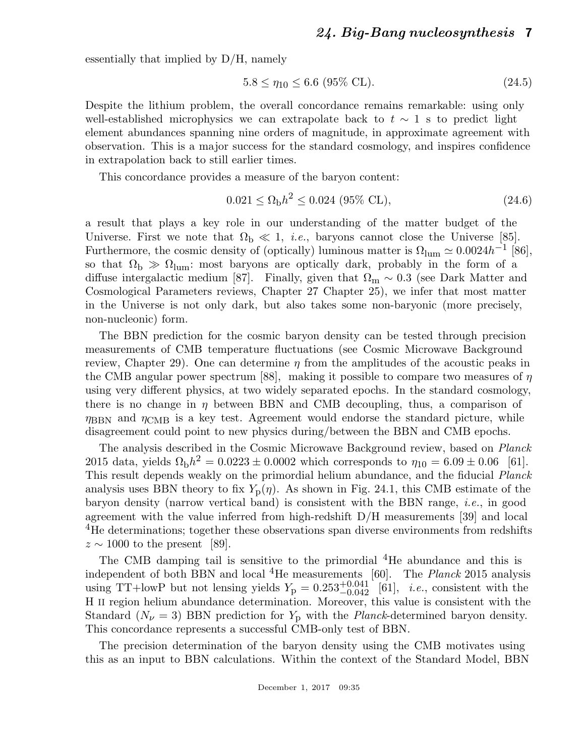essentially that implied by D/H, namely

$$
5.8 \le \eta_{10} \le 6.6 \ (95\% \ \text{CL}).\tag{24.5}
$$

Despite the lithium problem, the overall concordance remains remarkable: using only well-established microphysics we can extrapolate back to  $t \sim 1$  s to predict light element abundances spanning nine orders of magnitude, in approximate agreement with observation. This is a major success for the standard cosmology, and inspires confidence in extrapolation back to still earlier times.

This concordance provides a measure of the baryon content:

$$
0.021 \le \Omega_{\rm b} h^2 \le 0.024 \ (95\% \ \rm CL),\tag{24.6}
$$

a result that plays a key role in our understanding of the matter budget of the Universe. First we note that  $\Omega_{\rm b} \ll 1$ , *i.e.*, baryons cannot close the Universe [85]. Furthermore, the cosmic density of (optically) luminous matter is  $\Omega_{\text{lum}} \simeq 0.0024 h^{-1}$  [86], so that  $\Omega_{\rm b} \gg \Omega_{\rm lum}$ : most baryons are optically dark, probably in the form of a diffuse intergalactic medium [87]. Finally, given that  $\Omega_{\rm m} \sim 0.3$  (see Dark Matter and Cosmological Parameters reviews, Chapter 27 Chapter 25), we infer that most matter in the Universe is not only dark, but also takes some non-baryonic (more precisely, non-nucleonic) form.

The BBN prediction for the cosmic baryon density can be tested through precision measurements of CMB temperature fluctuations (see Cosmic Microwave Background review, Chapter 29). One can determine  $\eta$  from the amplitudes of the acoustic peaks in the CMB angular power spectrum [88], making it possible to compare two measures of  $\eta$ using very different physics, at two widely separated epochs. In the standard cosmology, there is no change in  $\eta$  between BBN and CMB decoupling, thus, a comparison of  $\eta_{\rm BBN}$  and  $\eta_{\rm CMB}$  is a key test. Agreement would endorse the standard picture, while disagreement could point to new physics during/between the BBN and CMB epochs.

The analysis described in the Cosmic Microwave Background review, based on Planck 2015 data, yields  $\Omega_{\rm b}h^2 = 0.0223 \pm 0.0002$  which corresponds to  $\eta_{10} = 6.09 \pm 0.06$  [61]. This result depends weakly on the primordial helium abundance, and the fiducial Planck analysis uses BBN theory to fix  $Y_p(\eta)$ . As shown in Fig. 24.1, this CMB estimate of the baryon density (narrow vertical band) is consistent with the BBN range, i.e., in good agreement with the value inferred from high-redshift D/H measurements [39] and local <sup>4</sup>He determinations; together these observations span diverse environments from redshifts  $z \sim 1000$  to the present [89].

The CMB damping tail is sensitive to the primordial <sup>4</sup>He abundance and this is independent of both BBN and local  ${}^{4}$ He measurements [60]. The *Planck* 2015 analysis using TT+lowP but not lensing yields  $Y_{\rm p} = 0.253^{+0.041}_{-0.042}$  $[61]$ , *i.e.*, consistent with the H II region helium abundance determination. Moreover, this value is consistent with the Standard  $(N_{\nu} = 3)$  BBN prediction for  $Y_p$  with the *Planck*-determined baryon density. This concordance represents a successful CMB-only test of BBN.

The precision determination of the baryon density using the CMB motivates using this as an input to BBN calculations. Within the context of the Standard Model, BBN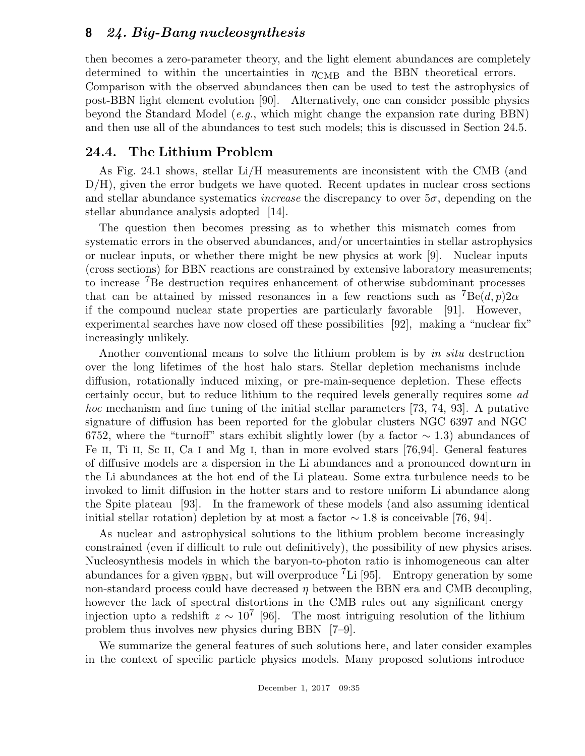then becomes a zero-parameter theory, and the light element abundances are completely determined to within the uncertainties in  $\eta_{\rm CMB}$  and the BBN theoretical errors. Comparison with the observed abundances then can be used to test the astrophysics of post-BBN light element evolution [90]. Alternatively, one can consider possible physics beyond the Standard Model (e.g., which might change the expansion rate during BBN) and then use all of the abundances to test such models; this is discussed in Section 24.5.

## 24.4. The Lithium Problem

As Fig. 24.1 shows, stellar Li/H measurements are inconsistent with the CMB (and D/H), given the error budgets we have quoted. Recent updates in nuclear cross sections and stellar abundance systematics *increase* the discrepancy to over  $5\sigma$ , depending on the stellar abundance analysis adopted [14].

The question then becomes pressing as to whether this mismatch comes from systematic errors in the observed abundances, and/or uncertainties in stellar astrophysics or nuclear inputs, or whether there might be new physics at work [9]. Nuclear inputs (cross sections) for BBN reactions are constrained by extensive laboratory measurements; to increase <sup>7</sup>Be destruction requires enhancement of otherwise subdominant processes that can be attained by missed resonances in a few reactions such as  ${}^{7}Be(d, p)2\alpha$ if the compound nuclear state properties are particularly favorable [91]. However, experimental searches have now closed off these possibilities [92], making a "nuclear fix" increasingly unlikely.

Another conventional means to solve the lithium problem is by in situ destruction over the long lifetimes of the host halo stars. Stellar depletion mechanisms include diffusion, rotationally induced mixing, or pre-main-sequence depletion. These effects certainly occur, but to reduce lithium to the required levels generally requires some ad hoc mechanism and fine tuning of the initial stellar parameters [73, 74, 93]. A putative signature of diffusion has been reported for the globular clusters NGC 6397 and NGC 6752, where the "turnoff" stars exhibit slightly lower (by a factor  $\sim$  1.3) abundances of Fe II, Ti II, Sc II, Ca I and Mg I, than in more evolved stars [76,94]. General features of diffusive models are a dispersion in the Li abundances and a pronounced downturn in the Li abundances at the hot end of the Li plateau. Some extra turbulence needs to be invoked to limit diffusion in the hotter stars and to restore uniform Li abundance along the Spite plateau [93]. In the framework of these models (and also assuming identical initial stellar rotation) depletion by at most a factor  $\sim$  1.8 is conceivable [76, 94].

As nuclear and astrophysical solutions to the lithium problem become increasingly constrained (even if difficult to rule out definitively), the possibility of new physics arises. Nucleosynthesis models in which the baryon-to-photon ratio is inhomogeneous can alter abundances for a given  $\eta_{\rm BBN}$ , but will overproduce <sup>7</sup>Li [95]. Entropy generation by some non-standard process could have decreased  $\eta$  between the BBN era and CMB decoupling, however the lack of spectral distortions in the CMB rules out any significant energy injection upto a redshift  $z \sim 10^7$  [96]. The most intriguing resolution of the lithium problem thus involves new physics during BBN [7–9].

We summarize the general features of such solutions here, and later consider examples in the context of specific particle physics models. Many proposed solutions introduce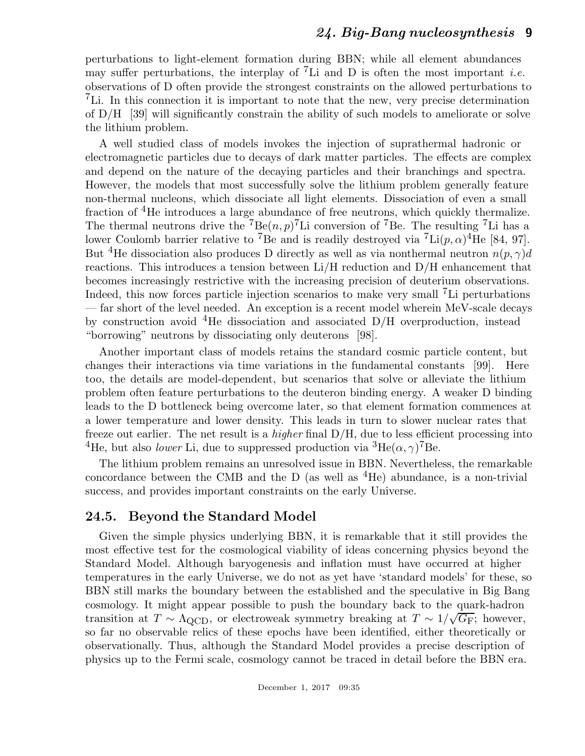perturbations to light-element formation during BBN; while all element abundances may suffer perturbations, the interplay of <sup>7</sup>Li and D is often the most important *i.e.* observations of D often provide the strongest constraints on the allowed perturbations to <sup>7</sup>Li. In this connection it is important to note that the new, very precise determination of D/H [39] will significantly constrain the ability of such models to ameliorate or solve the lithium problem.

A well studied class of models invokes the injection of suprathermal hadronic or electromagnetic particles due to decays of dark matter particles. The effects are complex and depend on the nature of the decaying particles and their branchings and spectra. However, the models that most successfully solve the lithium problem generally feature non-thermal nucleons, which dissociate all light elements. Dissociation of even a small fraction of <sup>4</sup>He introduces a large abundance of free neutrons, which quickly thermalize. The thermal neutrons drive the <sup>7</sup>Be $(n, p)$ <sup>7</sup>Li conversion of <sup>7</sup>Be. The resulting <sup>7</sup>Li has a lower Coulomb barrier relative to <sup>7</sup>Be and is readily destroyed via <sup>7</sup>Li(p,  $\alpha$ )<sup>4</sup>He [84, 97]. But <sup>4</sup>He dissociation also produces D directly as well as via nonthermal neutron  $n(p, \gamma)d$ reactions. This introduces a tension between Li/H reduction and D/H enhancement that becomes increasingly restrictive with the increasing precision of deuterium observations. Indeed, this now forces particle injection scenarios to make very small  ${}^{7}$ Li perturbations — far short of the level needed. An exception is a recent model wherein MeV-scale decays by construction avoid  ${}^{4}$ He dissociation and associated D/H overproduction, instead "borrowing" neutrons by dissociating only deuterons [98].

Another important class of models retains the standard cosmic particle content, but changes their interactions via time variations in the fundamental constants [99]. Here too, the details are model-dependent, but scenarios that solve or alleviate the lithium problem often feature perturbations to the deuteron binding energy. A weaker D binding leads to the D bottleneck being overcome later, so that element formation commences at a lower temperature and lower density. This leads in turn to slower nuclear rates that freeze out earlier. The net result is a higher final D/H, due to less efficient processing into <sup>4</sup>He, but also *lower* Li, due to suppressed production via <sup>3</sup>He( $\alpha$ ,  $\gamma$ )<sup>7</sup>Be.

The lithium problem remains an unresolved issue in BBN. Nevertheless, the remarkable concordance between the CMB and the D (as well as  ${}^{4}$ He) abundance, is a non-trivial success, and provides important constraints on the early Universe.

# 24.5. Beyond the Standard Model

Given the simple physics underlying BBN, it is remarkable that it still provides the most effective test for the cosmological viability of ideas concerning physics beyond the Standard Model. Although baryogenesis and inflation must have occurred at higher temperatures in the early Universe, we do not as yet have 'standard models' for these, so BBN still marks the boundary between the established and the speculative in Big Bang cosmology. It might appear possible to push the boundary back to the quark-hadron transition at  $T \sim \Lambda_{\rm QCD}$ , or electroweak symmetry breaking at  $T \sim 1/\sqrt{G_F}$ ; however, so far no observable relics of these epochs have been identified, either theoretically or observationally. Thus, although the Standard Model provides a precise description of physics up to the Fermi scale, cosmology cannot be traced in detail before the BBN era.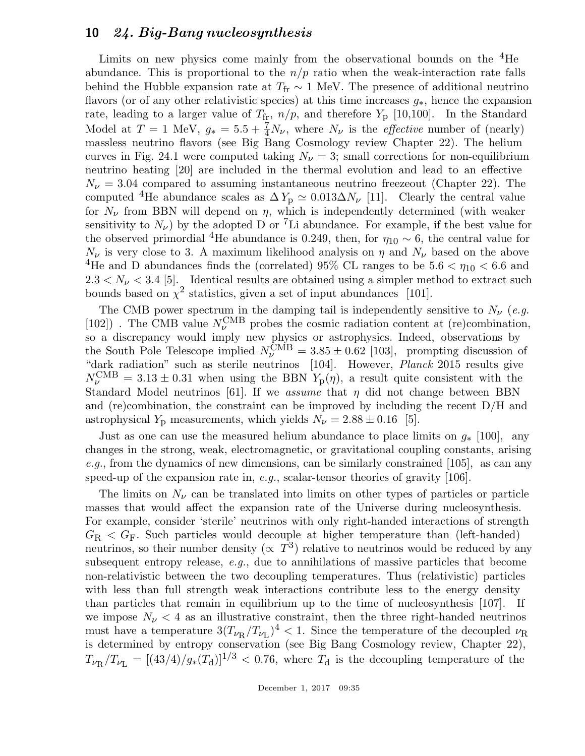Limits on new physics come mainly from the observational bounds on the  ${}^{4}$ He abundance. This is proportional to the  $n/p$  ratio when the weak-interaction rate falls behind the Hubble expansion rate at  $T_{\text{fr}} \sim 1$  MeV. The presence of additional neutrino flavors (or of any other relativistic species) at this time increases  $g_*$ , hence the expansion rate, leading to a larger value of  $T_{\text{fr}}$ ,  $n/p$ , and therefore  $Y_{\text{p}}$  [10,100]. In the Standard Model at  $T = 1$  MeV,  $g_* = 5.5 + \frac{7}{4}N_{\nu}$ , where  $N_{\nu}$  is the *effective* number of (nearly) massless neutrino flavors (see Big Bang Cosmology review Chapter 22). The helium curves in Fig. 24.1 were computed taking  $N_{\nu} = 3$ ; small corrections for non-equilibrium neutrino heating [20] are included in the thermal evolution and lead to an effective  $N_{\nu} = 3.04$  compared to assuming instantaneous neutrino freezeout (Chapter 22). The computed <sup>4</sup>He abundance scales as  $\Delta Y_p \simeq 0.013 \Delta N_\nu$  [11]. Clearly the central value for  $N_{\nu}$  from BBN will depend on  $\eta$ , which is independently determined (with weaker sensitivity to  $N_{\nu}$ ) by the adopted D or <sup>7</sup>Li abundance. For example, if the best value for the observed primordial <sup>4</sup>He abundance is 0.249, then, for  $\eta_{10} \sim 6$ , the central value for  $N_{\nu}$  is very close to 3. A maximum likelihood analysis on  $\eta$  and  $N_{\nu}$  based on the above <sup>4</sup>He and D abundances finds the (correlated) 95% CL ranges to be  $5.6 < \eta_{10} < 6.6$  and  $2.3 < N_{\nu} < 3.4$  [5]. Identical results are obtained using a simpler method to extract such bounds based on  $\chi^2$  statistics, given a set of input abundances [101].

The CMB power spectrum in the damping tail is independently sensitive to  $N_{\nu}$  (e.g. [102]). The CMB value  $N_{\nu}^{\rm CMB}$  probes the cosmic radiation content at (re)combination, so a discrepancy would imply new physics or astrophysics. Indeed, observations by the South Pole Telescope implied  $N_V^{\text{CMB}} = 3.85 \pm 0.62$  [103], prompting discussion of "dark radiation" such as sterile neutrinos [104]. However, Planck 2015 results give  $N_{\nu}^{\text{CMB}} = 3.13 \pm 0.31$  when using the BBN  $Y_{\text{p}}(\eta)$ , a result quite consistent with the Standard Model neutrinos [61]. If we assume that  $\eta$  did not change between BBN and (re)combination, the constraint can be improved by including the recent D/H and astrophysical  $Y_p$  measurements, which yields  $N_{\nu} = 2.88 \pm 0.16$  [5].

Just as one can use the measured helium abundance to place limits on  $g_*$  [100], any changes in the strong, weak, electromagnetic, or gravitational coupling constants, arising e.g., from the dynamics of new dimensions, can be similarly constrained [105], as can any speed-up of the expansion rate in, e.g., scalar-tensor theories of gravity  $[106]$ .

The limits on  $N_{\nu}$  can be translated into limits on other types of particles or particle masses that would affect the expansion rate of the Universe during nucleosynthesis. For example, consider 'sterile' neutrinos with only right-handed interactions of strength  $G_{\rm R} < G_{\rm F}$ . Such particles would decouple at higher temperature than (left-handed) neutrinos, so their number density ( $\propto T^3$ ) relative to neutrinos would be reduced by any subsequent entropy release, e.g., due to annihilations of massive particles that become non-relativistic between the two decoupling temperatures. Thus (relativistic) particles with less than full strength weak interactions contribute less to the energy density than particles that remain in equilibrium up to the time of nucleosynthesis [107]. If we impose  $N_{\nu}$  < 4 as an illustrative constraint, then the three right-handed neutrinos must have a temperature  $3(T_{\nu_R}/T_{\nu_L})^4 < 1$ . Since the temperature of the decoupled  $\nu_R$ is determined by entropy conservation (see Big Bang Cosmology review, Chapter 22),  $T_{\nu_{\rm R}}/T_{\nu_{\rm L}} = [(43/4)/g_*(T_{\rm d})]^{1/3} < 0.76$ , where  $T_{\rm d}$  is the decoupling temperature of the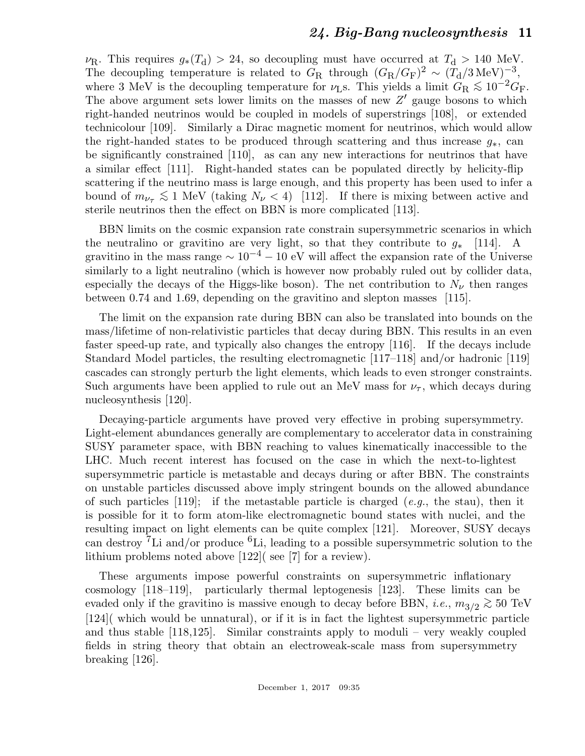$\nu_{\rm R}$ . This requires  $g_*(T_d) > 24$ , so decoupling must have occurred at  $T_d > 140$  MeV. The decoupling temperature is related to  $G_R$  through  $(G_R/G_F)^2 \sim (T_d/3 \text{ MeV})^{-3}$ where 3 MeV is the decoupling temperature for  $\nu$ <sub>L</sub>s. This yields a limit  $G_R \lesssim 10^{-2} G_F$ . The above argument sets lower limits on the masses of new  $Z'$  gauge bosons to which right-handed neutrinos would be coupled in models of superstrings [108], or extended technicolour [109]. Similarly a Dirac magnetic moment for neutrinos, which would allow the right-handed states to be produced through scattering and thus increase  $q_*$ , can be significantly constrained [110], as can any new interactions for neutrinos that have a similar effect [111]. Right-handed states can be populated directly by helicity-flip scattering if the neutrino mass is large enough, and this property has been used to infer a bound of  $m_{\nu_{\tau}} \lesssim 1$  MeV (taking  $N_{\nu} < 4$ ) [112]. If there is mixing between active and sterile neutrinos then the effect on BBN is more complicated [113].

BBN limits on the cosmic expansion rate constrain supersymmetric scenarios in which the neutralino or gravitino are very light, so that they contribute to  $q_*$  [114]. A gravitino in the mass range  $\sim 10^{-4} - 10$  eV will affect the expansion rate of the Universe similarly to a light neutralino (which is however now probably ruled out by collider data, especially the decays of the Higgs-like boson). The net contribution to  $N_{\nu}$  then ranges between 0.74 and 1.69, depending on the gravitino and slepton masses [115].

The limit on the expansion rate during BBN can also be translated into bounds on the mass/lifetime of non-relativistic particles that decay during BBN. This results in an even faster speed-up rate, and typically also changes the entropy [116]. If the decays include Standard Model particles, the resulting electromagnetic [117–118] and/or hadronic [119] cascades can strongly perturb the light elements, which leads to even stronger constraints. Such arguments have been applied to rule out an MeV mass for  $\nu_{\tau}$ , which decays during nucleosynthesis [120].

Decaying-particle arguments have proved very effective in probing supersymmetry. Light-element abundances generally are complementary to accelerator data in constraining SUSY parameter space, with BBN reaching to values kinematically inaccessible to the LHC. Much recent interest has focused on the case in which the next-to-lightest supersymmetric particle is metastable and decays during or after BBN. The constraints on unstable particles discussed above imply stringent bounds on the allowed abundance of such particles  $[119]$ ; if the metastable particle is charged (e.g., the stau), then it is possible for it to form atom-like electromagnetic bound states with nuclei, and the resulting impact on light elements can be quite complex [121]. Moreover, SUSY decays can destroy <sup>7</sup>Li and/or produce <sup>6</sup>Li, leading to a possible supersymmetric solution to the lithium problems noted above [122]( see [7] for a review).

These arguments impose powerful constraints on supersymmetric inflationary cosmology [118–119], particularly thermal leptogenesis [123]. These limits can be evaded only if the gravitino is massive enough to decay before BBN, *i.e.*,  $m_{3/2} \gtrsim 50 \text{ TeV}$ [124]( which would be unnatural), or if it is in fact the lightest supersymmetric particle and thus stable [118,125]. Similar constraints apply to moduli – very weakly coupled fields in string theory that obtain an electroweak-scale mass from supersymmetry breaking [126].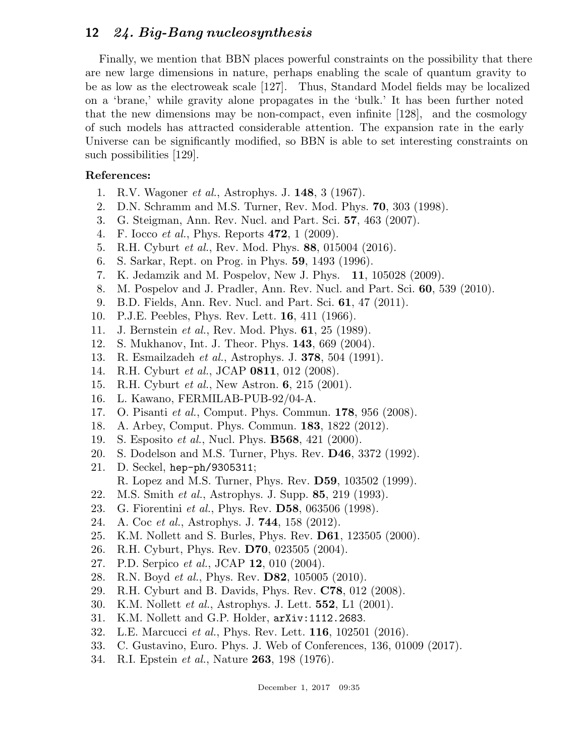Finally, we mention that BBN places powerful constraints on the possibility that there are new large dimensions in nature, perhaps enabling the scale of quantum gravity to be as low as the electroweak scale [127]. Thus, Standard Model fields may be localized on a 'brane,' while gravity alone propagates in the 'bulk.' It has been further noted that the new dimensions may be non-compact, even infinite [128], and the cosmology of such models has attracted considerable attention. The expansion rate in the early Universe can be significantly modified, so BBN is able to set interesting constraints on such possibilities [129].

#### References:

- 1. R.V. Wagoner et al., Astrophys. J. 148, 3 (1967).
- 2. D.N. Schramm and M.S. Turner, Rev. Mod. Phys. 70, 303 (1998).
- 3. G. Steigman, Ann. Rev. Nucl. and Part. Sci. 57, 463 (2007).
- 4. F. Iocco et al., Phys. Reports 472, 1 (2009).
- 5. R.H. Cyburt et al., Rev. Mod. Phys. 88, 015004 (2016).
- 6. S. Sarkar, Rept. on Prog. in Phys. 59, 1493 (1996).
- 7. K. Jedamzik and M. Pospelov, New J. Phys. 11, 105028 (2009).
- 8. M. Pospelov and J. Pradler, Ann. Rev. Nucl. and Part. Sci. 60, 539 (2010).
- 9. B.D. Fields, Ann. Rev. Nucl. and Part. Sci. 61, 47 (2011).
- 10. P.J.E. Peebles, Phys. Rev. Lett. 16, 411 (1966).
- 11. J. Bernstein et al., Rev. Mod. Phys. 61, 25 (1989).
- 12. S. Mukhanov, Int. J. Theor. Phys. 143, 669 (2004).
- 13. R. Esmailzadeh et al., Astrophys. J. 378, 504 (1991).
- 14. R.H. Cyburt et al., JCAP 0811, 012 (2008).
- 15. R.H. Cyburt et al., New Astron. 6, 215 (2001).
- 16. L. Kawano, FERMILAB-PUB-92/04-A.
- 17. O. Pisanti et al., Comput. Phys. Commun. 178, 956 (2008).
- 18. A. Arbey, Comput. Phys. Commun. 183, 1822 (2012).
- 19. S. Esposito et al., Nucl. Phys. B568, 421 (2000).
- 20. S. Dodelson and M.S. Turner, Phys. Rev. D46, 3372 (1992).
- 21. D. Seckel, hep-ph/9305311;
	- R. Lopez and M.S. Turner, Phys. Rev. D59, 103502 (1999).
- 22. M.S. Smith et al., Astrophys. J. Supp. 85, 219 (1993).
- 23. G. Fiorentini et al., Phys. Rev. **D58**, 063506 (1998).
- 24. A. Coc et al., Astrophys. J. 744, 158 (2012).
- 25. K.M. Nollett and S. Burles, Phys. Rev. D61, 123505 (2000).
- 26. R.H. Cyburt, Phys. Rev. D70, 023505 (2004).
- 27. P.D. Serpico et al., JCAP 12, 010 (2004).
- 28. R.N. Boyd *et al.*, Phys. Rev. **D82**, 105005 (2010).
- 29. R.H. Cyburt and B. Davids, Phys. Rev. C78, 012 (2008).
- 30. K.M. Nollett et al., Astrophys. J. Lett. 552, L1 (2001).
- 31. K.M. Nollett and G.P. Holder, arXiv:1112.2683.
- 32. L.E. Marcucci et al., Phys. Rev. Lett. 116, 102501 (2016).
- 33. C. Gustavino, Euro. Phys. J. Web of Conferences, 136, 01009 (2017).
- 34. R.I. Epstein et al., Nature 263, 198 (1976).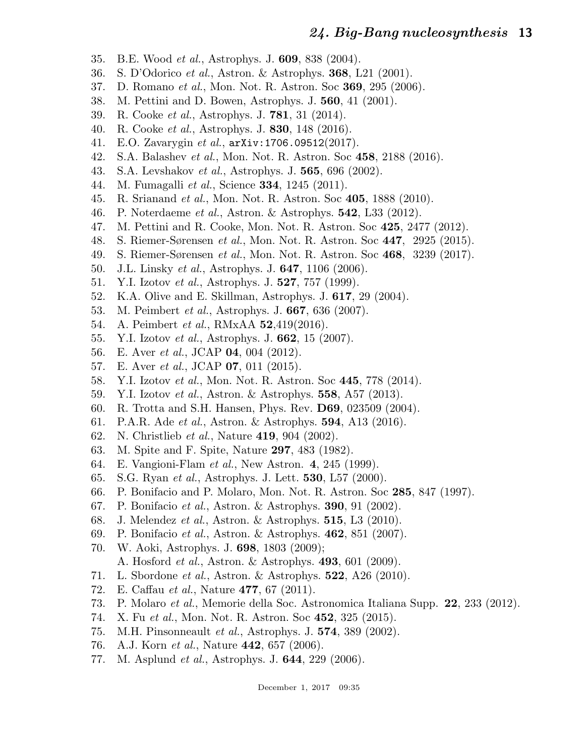- 35. B.E. Wood et al., Astrophys. J. 609, 838 (2004).
- 36. S. D'Odorico et al., Astron. & Astrophys. 368, L21 (2001).
- 37. D. Romano et al., Mon. Not. R. Astron. Soc 369, 295 (2006).
- 38. M. Pettini and D. Bowen, Astrophys. J. 560, 41 (2001).
- 39. R. Cooke et al., Astrophys. J. 781, 31 (2014).
- 40. R. Cooke et al., Astrophys. J. 830, 148 (2016).
- 41. E.O. Zavarygin et al., arXiv:1706.09512(2017).
- 42. S.A. Balashev et al., Mon. Not. R. Astron. Soc 458, 2188 (2016).
- 43. S.A. Levshakov et al., Astrophys. J. 565, 696 (2002).
- 44. M. Fumagalli *et al.*, Science **334**, 1245 (2011).
- 45. R. Srianand et al., Mon. Not. R. Astron. Soc 405, 1888 (2010).
- 46. P. Noterdaeme et al., Astron. & Astrophys. 542, L33 (2012).
- 47. M. Pettini and R. Cooke, Mon. Not. R. Astron. Soc 425, 2477 (2012).
- 48. S. Riemer-Sørensen et al., Mon. Not. R. Astron. Soc 447, 2925 (2015).
- 49. S. Riemer-Sørensen et al., Mon. Not. R. Astron. Soc 468, 3239 (2017).
- 50. J.L. Linsky et al., Astrophys. J. 647, 1106 (2006).
- 51. Y.I. Izotov et al., Astrophys. J. 527, 757 (1999).
- 52. K.A. Olive and E. Skillman, Astrophys. J. 617, 29 (2004).
- 53. M. Peimbert et al., Astrophys. J. 667, 636 (2007).
- 54. A. Peimbert et al., RMxAA 52,419(2016).
- 55. Y.I. Izotov et al., Astrophys. J. 662, 15 (2007).
- 56. E. Aver *et al.*, JCAP **04**, 004 (2012).
- 57. E. Aver *et al.*, JCAP **07**, 011 (2015).
- 58. Y.I. Izotov et al., Mon. Not. R. Astron. Soc 445, 778 (2014).
- 59. Y.I. Izotov et al., Astron. & Astrophys. 558, A57 (2013).
- 60. R. Trotta and S.H. Hansen, Phys. Rev. D69, 023509 (2004).
- 61. P.A.R. Ade et al., Astron. & Astrophys. 594, A13 (2016).
- 62. N. Christlieb et al., Nature 419, 904 (2002).
- 63. M. Spite and F. Spite, Nature 297, 483 (1982).
- 64. E. Vangioni-Flam et al., New Astron. 4, 245 (1999).
- 65. S.G. Ryan et al., Astrophys. J. Lett. 530, L57 (2000).
- 66. P. Bonifacio and P. Molaro, Mon. Not. R. Astron. Soc 285, 847 (1997).
- 67. P. Bonifacio et al., Astron. & Astrophys. 390, 91 (2002).
- 68. J. Melendez et al., Astron. & Astrophys. 515, L3 (2010).
- 69. P. Bonifacio et al., Astron. & Astrophys. 462, 851 (2007).
- 70. W. Aoki, Astrophys. J. 698, 1803 (2009);
	- A. Hosford et al., Astron. & Astrophys. 493, 601 (2009).
- 71. L. Sbordone et al., Astron. & Astrophys. 522, A26 (2010).
- 72. E. Caffau et al., Nature 477, 67 (2011).
- 73. P. Molaro et al., Memorie della Soc. Astronomica Italiana Supp. 22, 233 (2012).
- 74. X. Fu et al., Mon. Not. R. Astron. Soc 452, 325 (2015).
- 75. M.H. Pinsonneault et al., Astrophys. J. 574, 389 (2002).
- 76. A.J. Korn et al., Nature 442, 657 (2006).
- 77. M. Asplund et al., Astrophys. J. 644, 229 (2006).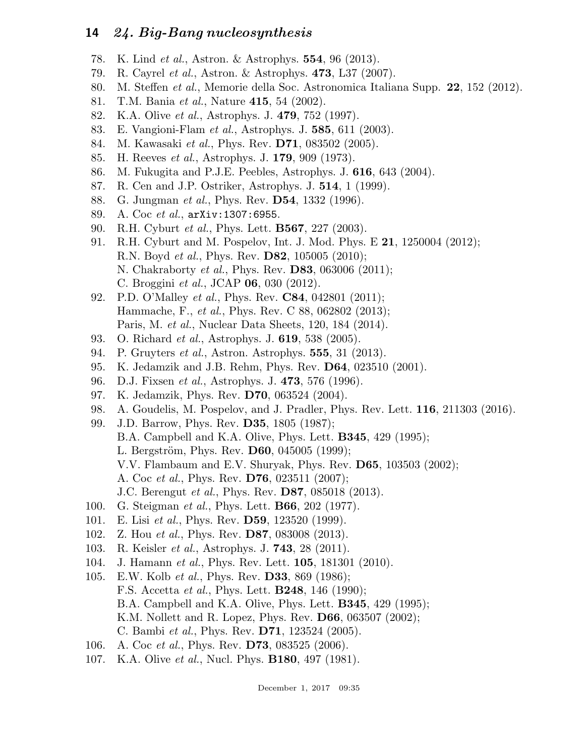- 78. K. Lind et al., Astron. & Astrophys. 554, 96 (2013).
- 79. R. Cayrel et al., Astron. & Astrophys. 473, L37 (2007).
- 80. M. Steffen et al., Memorie della Soc. Astronomica Italiana Supp. 22, 152 (2012).
- 81. T.M. Bania et al., Nature 415, 54 (2002).
- 82. K.A. Olive et al., Astrophys. J. 479, 752 (1997).
- 83. E. Vangioni-Flam et al., Astrophys. J. 585, 611 (2003).
- 84. M. Kawasaki et al., Phys. Rev. **D71**, 083502 (2005).
- 85. H. Reeves et al., Astrophys. J. 179, 909 (1973).
- 86. M. Fukugita and P.J.E. Peebles, Astrophys. J. 616, 643 (2004).
- 87. R. Cen and J.P. Ostriker, Astrophys. J. 514, 1 (1999).
- 88. G. Jungman *et al.*, Phys. Rev. **D54**, 1332 (1996).
- 89. A. Coc et al., arXiv:1307:6955.
- 90. R.H. Cyburt et al., Phys. Lett. B567, 227 (2003).
- 91. R.H. Cyburt and M. Pospelov, Int. J. Mod. Phys. E 21, 1250004 (2012); R.N. Boyd et al., Phys. Rev. D82, 105005 (2010); N. Chakraborty et al., Phys. Rev. D83, 063006 (2011); C. Broggini et al., JCAP 06, 030 (2012).
- 92. P.D. O'Malley *et al.*, Phys. Rev. **C84**, 042801 (2011); Hammache, F., et al., Phys. Rev. C 88, 062802 (2013); Paris, M. et al., Nuclear Data Sheets, 120, 184 (2014).
- 93. O. Richard et al., Astrophys. J. 619, 538 (2005).
- 94. P. Gruyters et al., Astron. Astrophys. 555, 31 (2013).
- 95. K. Jedamzik and J.B. Rehm, Phys. Rev. D64, 023510 (2001).
- 96. D.J. Fixsen et al., Astrophys. J. 473, 576 (1996).
- 97. K. Jedamzik, Phys. Rev. D70, 063524 (2004).
- 98. A. Goudelis, M. Pospelov, and J. Pradler, Phys. Rev. Lett. 116, 211303 (2016).
- 99. J.D. Barrow, Phys. Rev. D35, 1805 (1987);
	- B.A. Campbell and K.A. Olive, Phys. Lett. B345, 429 (1995);
	- L. Bergström, Phys. Rev. **D60**, 045005 (1999);
	- V.V. Flambaum and E.V. Shuryak, Phys. Rev. D65, 103503 (2002);
	- A. Coc et al., Phys. Rev. D76, 023511 (2007);
	- J.C. Berengut et al., Phys. Rev. D87, 085018 (2013).
- 100. G. Steigman et al., Phys. Lett. B66, 202 (1977).
- 101. E. Lisi et al., Phys. Rev. **D59**, 123520 (1999).
- 102. Z. Hou et al., Phys. Rev. D87, 083008 (2013).
- 103. R. Keisler et al., Astrophys. J. 743, 28 (2011).
- 104. J. Hamann et al., Phys. Rev. Lett. 105, 181301 (2010).
- 105. E.W. Kolb *et al.*, Phys. Rev. **D33**, 869 (1986); F.S. Accetta et al., Phys. Lett. B248, 146 (1990); B.A. Campbell and K.A. Olive, Phys. Lett. B345, 429 (1995); K.M. Nollett and R. Lopez, Phys. Rev. D66, 063507 (2002); C. Bambi et al., Phys. Rev. D71, 123524 (2005).
- 106. A. Coc *et al.*, Phys. Rev. **D73**, 083525 (2006).
- 107. K.A. Olive et al., Nucl. Phys. B180, 497 (1981).